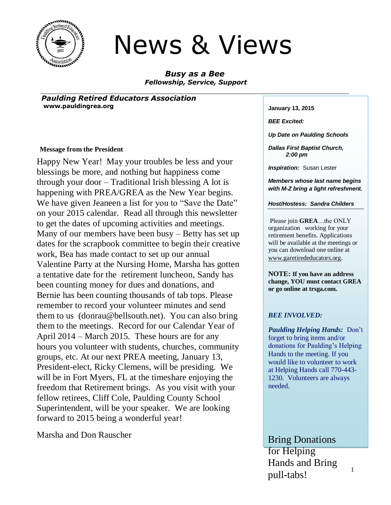

# News & Views

*Busy as a Bee Fellowship, Service, Support*

*Paulding Retired Educators Association* **www.pauldingrea.org January 13, 2015** 

#### **Message from the President**

Happy New Year! May your troubles be less and your blessings be more, and nothing but happiness come through your door – Traditional Irish blessing A lot is happening with PREA/GREA as the New Year begins. We have given Jeaneen a list for you to "Save the Date" on your 2015 calendar. Read all through this newsletter to get the dates of upcoming activities and meetings. Many of our members have been busy – Betty has set up dates for the scrapbook committee to begin their creative work, Bea has made contact to set up our annual Valentine Party at the Nursing Home, Marsha has gotten a tentative date for the retirement luncheon, Sandy has been counting money for dues and donations, and Bernie has been counting thousands of tab tops. Please remember to record your volunteer minutes and send them to us (donrau@bellsouth.net). You can also bring them to the meetings. Record for our Calendar Year of April 2014 – March 2015. These hours are for any hours you volunteer with students, churches, community groups, etc. At our next PREA meeting, January 13, President-elect, Ricky Clemens, will be presiding. We will be in Fort Myers, FL at the timeshare enjoying the freedom that Retirement brings. As you visit with your fellow retirees, Cliff Cole, Paulding County School Superintendent, will be your speaker. We are looking forward to 2015 being a wonderful year!

Marsha and Don Rauscher **Bring Donations** 

*BEE Excited:*

*Up Date on Paulding Schools*

*Dallas First Baptist Church, 2:00 pm*

*Inspiration:* Susan Lester

*Members whose last name begins with M-Z bring a light refreshment.*

#### *Host/Hostess: Sandra Childers*

Please join **GREA**…the ONLY organization working for your retirement benefits. Applications will be available at the meetings or you can download one online at [www.garetirededucators.org](http://www.garetirededucators.org/).

**NOTE: If you have an address change, YOU must contact GREA or go online at trsga.com.**

#### *BEE INVOLVED:*

*Paulding Helping Hands:* Don't forget to bring items and/or donations for Paulding's Helping Hands to the meeting. If you would like to volunteer to work at Helping Hands call 770-443- 1230. Volunteers are always needed.

for Helping Hands and Bring pull-tabs!

1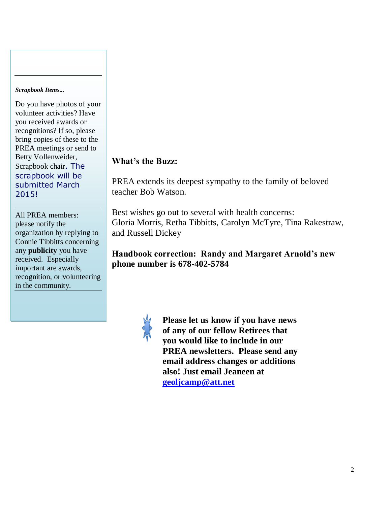#### *Scrapbook Items...*

Do you have photos of your volunteer activities? Have you received awards or recognitions? If so, please bring copies of these to the PREA meetings or send to Betty Vollenweider, Scrapbook chair. The scrapbook will be submitted March 2015!

All PREA members: please notify the organization by replying to Connie Tibbitts concerning any **publicity** you have received. Especially important are awards, recognition, or volunteering in the community.

## **What's the Buzz:**

PREA extends its deepest sympathy to the family of beloved teacher Bob Watson.

Best wishes go out to several with health concerns: Gloria Morris, Retha Tibbitts, Carolyn McTyre, Tina Rakestraw, and Russell Dickey

## **Handbook correction: Randy and Margaret Arnold's new phone number is 678-402-5784**



**Please let us know if you have news of any of our fellow Retirees that you would like to include in our PREA newsletters. Please send any email address changes or additions also! Just email Jeaneen at [geoljcamp@att.net](mailto:geoljcamp@att.net)**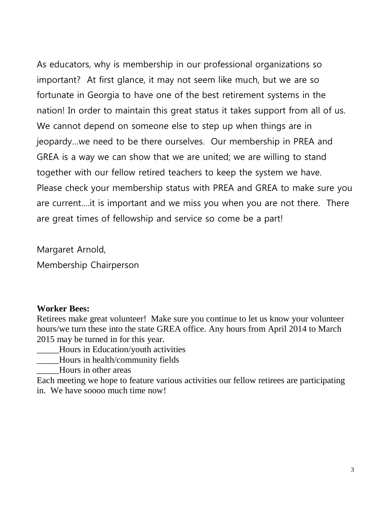As educators, why is membership in our professional organizations so important? At first glance, it may not seem like much, but we are so fortunate in Georgia to have one of the best retirement systems in the nation! In order to maintain this great status it takes support from all of us. We cannot depend on someone else to step up when things are in jeopardy…we need to be there ourselves. Our membership in PREA and GREA is a way we can show that we are united; we are willing to stand together with our fellow retired teachers to keep the system we have. Please check your membership status with PREA and GREA to make sure you are current….it is important and we miss you when you are not there. There are great times of fellowship and service so come be a part!

Margaret Arnold,

Membership Chairperson

#### **Worker Bees:**

Retirees make great volunteer! Make sure you continue to let us know your volunteer hours/we turn these into the state GREA office. Any hours from April 2014 to March 2015 may be turned in for this year.

\_\_\_\_\_Hours in Education/youth activities

Hours in health/community fields

\_\_\_\_\_Hours in other areas

Each meeting we hope to feature various activities our fellow retirees are participating in. We have soooo much time now!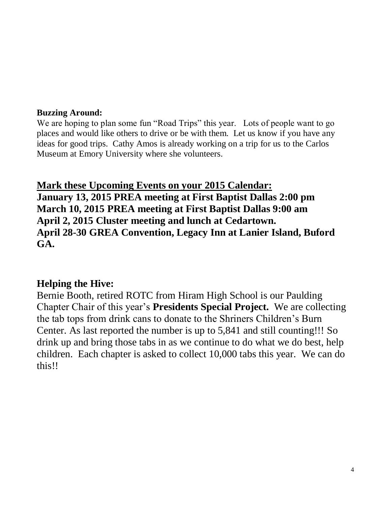#### **Buzzing Around:**

We are hoping to plan some fun "Road Trips" this year. Lots of people want to go places and would like others to drive or be with them. Let us know if you have any ideas for good trips. Cathy Amos is already working on a trip for us to the Carlos Museum at Emory University where she volunteers.

**Mark these Upcoming Events on your 2015 Calendar: January 13, 2015 PREA meeting at First Baptist Dallas 2:00 pm March 10, 2015 PREA meeting at First Baptist Dallas 9:00 am April 2, 2015 Cluster meeting and lunch at Cedartown. April 28-30 GREA Convention, Legacy Inn at Lanier Island, Buford GA.**

# **Helping the Hive:**

Bernie Booth, retired ROTC from Hiram High School is our Paulding Chapter Chair of this year's **Presidents Special Project.** We are collecting the tab tops from drink cans to donate to the Shriners Children's Burn Center. As last reported the number is up to 5,841 and still counting!!! So drink up and bring those tabs in as we continue to do what we do best, help children. Each chapter is asked to collect 10,000 tabs this year. We can do this!!